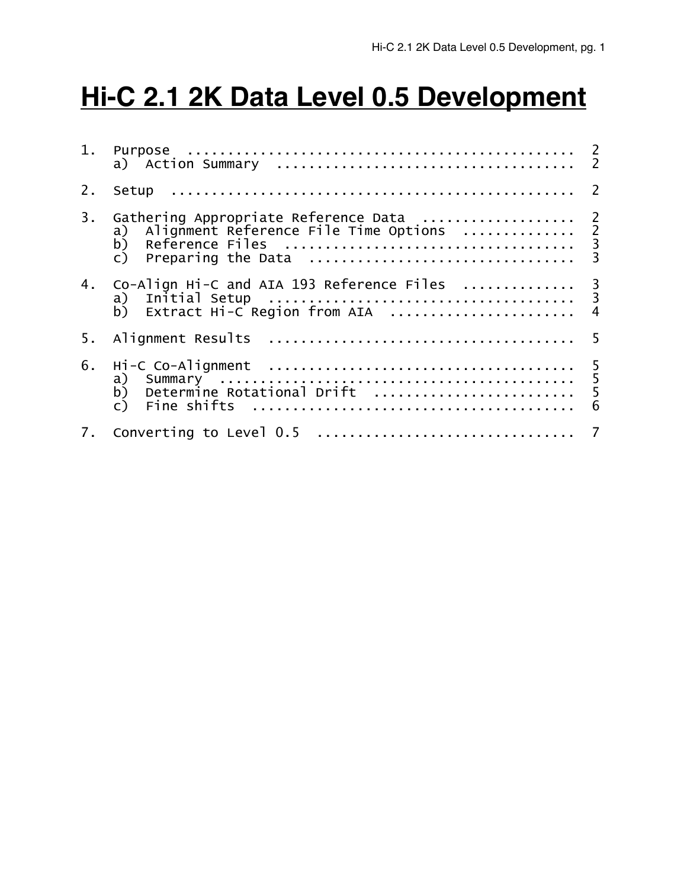# **Hi-C 2.1 2K Data Level 0.5 Development**

| 1. |                                                                                                                                                                               |                |  |  |
|----|-------------------------------------------------------------------------------------------------------------------------------------------------------------------------------|----------------|--|--|
| 2. |                                                                                                                                                                               |                |  |  |
| 3. | Gathering Appropriate Reference Data  2<br>Alignment Reference File Time Options<br>Reference Files<br>Preparing the Data<br>Preparing the Data<br>a)<br>b)<br>$\mathsf{C}$ ) |                |  |  |
| 4. | Co-Align Hi-C and AIA 193 Reference Files  3<br>a)<br>b) Extract Hi-C Region from AIA                                                                                         | $\overline{4}$ |  |  |
| 5. | 5                                                                                                                                                                             |                |  |  |
| 6. | Hi-C Co-Alignment<br>a) Summary<br>b) Determine Rotational Drift<br>$\begin{array}{ccc}\n1 & 5 \\ 0 & 1 & 5 \\ 0 & 0 & 5\n\end{array}$                                        | 6              |  |  |
| 7. |                                                                                                                                                                               |                |  |  |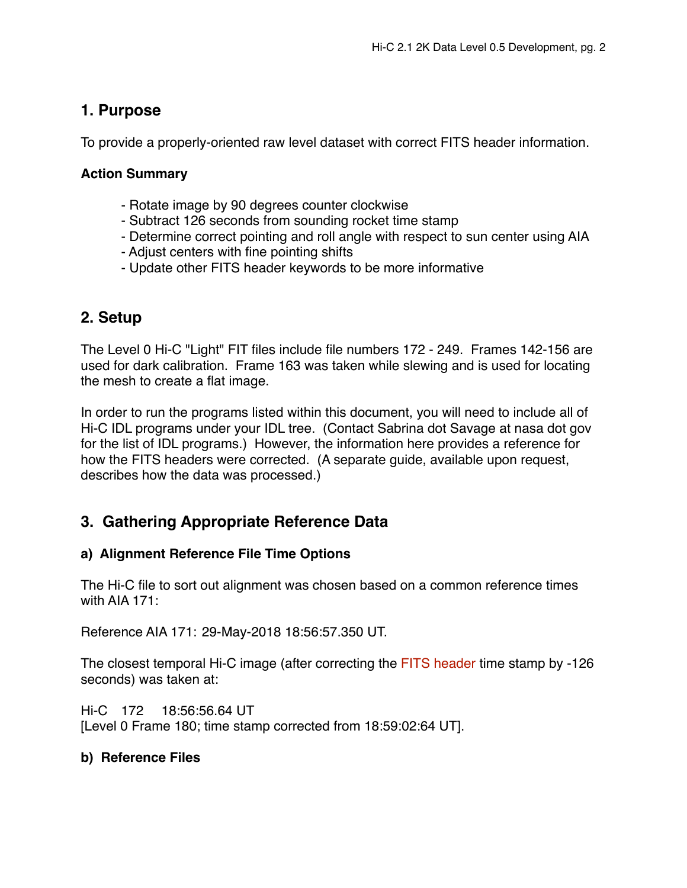## **1. Purpose**

To provide a properly-oriented raw level dataset with correct FITS header information.

#### **Action Summary**

- Rotate image by 90 degrees counter clockwise
- Subtract 126 seconds from sounding rocket time stamp
- Determine correct pointing and roll angle with respect to sun center using AIA
- Adjust centers with fine pointing shifts
- Update other FITS header keywords to be more informative

## **2. Setup**

The Level 0 Hi-C "Light" FIT files include file numbers 172 - 249. Frames 142-156 are used for dark calibration. Frame 163 was taken while slewing and is used for locating the mesh to create a flat image.

In order to run the programs listed within this document, you will need to include all of Hi-C IDL programs under your IDL tree. (Contact Sabrina dot Savage at nasa dot gov for the list of IDL programs.) However, the information here provides a reference for how the FITS headers were corrected. (A separate guide, available upon request, describes how the data was processed.)

## **3. Gathering Appropriate Reference Data**

### **a) Alignment Reference File Time Options**

The Hi-C file to sort out alignment was chosen based on a common reference times with AIA 171:

Reference AIA 171: 29-May-2018 18:56:57.350 UT.

The closest temporal Hi-C image (after correcting the FITS header time stamp by -126 seconds) was taken at:

Hi-C 172 18:56:56.64 UT [Level 0 Frame 180; time stamp corrected from 18:59:02:64 UT].

#### **b) Reference Files**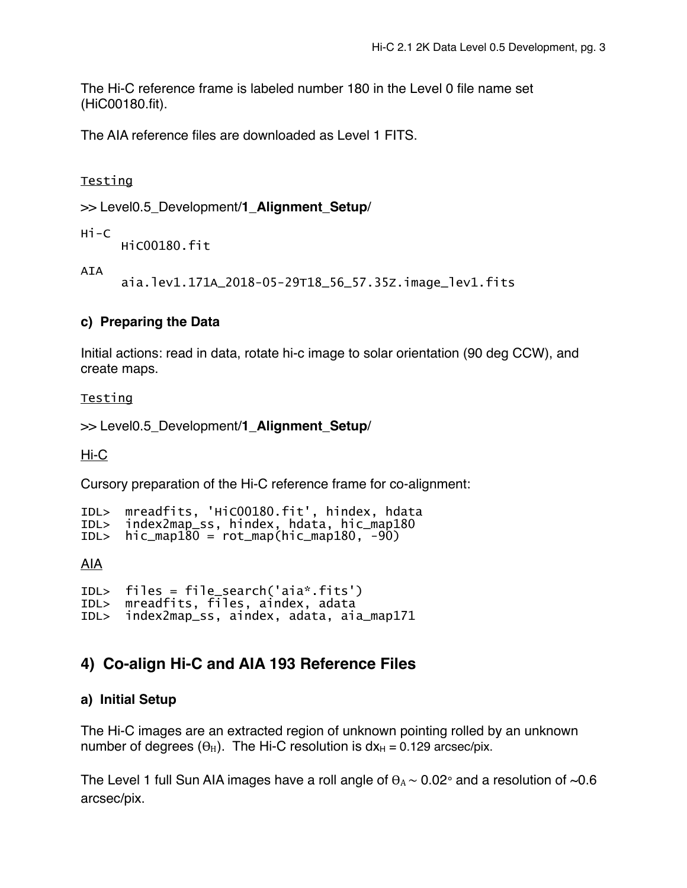The Hi-C reference frame is labeled number 180 in the Level 0 file name set (HiC00180.fit).

The AIA reference files are downloaded as Level 1 FITS.

Testing

>> Level0.5\_Development/**1\_Alignment\_Setup**/

Hi-C

HiC00180.fit

AIA

aia.lev1.171A\_2018-05-29T18\_56\_57.35Z.image\_lev1.fits

#### **c) Preparing the Data**

Initial actions: read in data, rotate hi-c image to solar orientation (90 deg CCW), and create maps.

#### Testing

>> Level0.5\_Development/**1\_Alignment\_Setup**/

Hi-C

Cursory preparation of the Hi-C reference frame for co-alignment:

```
IDL> mreadfits, 'HiC00180.fit', hindex, hdata 
IDL> index2map_ss, hindex, hdata, hic_map180 
     hic_map180 = rot_map(hic_map180, -90)
```
AIA

```
IDL> files = file_search('aia*.fits') 
IDL> mreadfits, files, aindex, adata 
     index2map_ss, aindex, adata, aia_map171
```
## **4) Co-align Hi-C and AIA 193 Reference Files**

#### **a) Initial Setup**

The Hi-C images are an extracted region of unknown pointing rolled by an unknown number of degrees  $(\theta_H)$ . The Hi-C resolution is  $dx_H = 0.129$  arcsec/pix.

The Level 1 full Sun AIA images have a roll angle of  $\theta_A \sim 0.02^\circ$  and a resolution of ~0.6 arcsec/pix.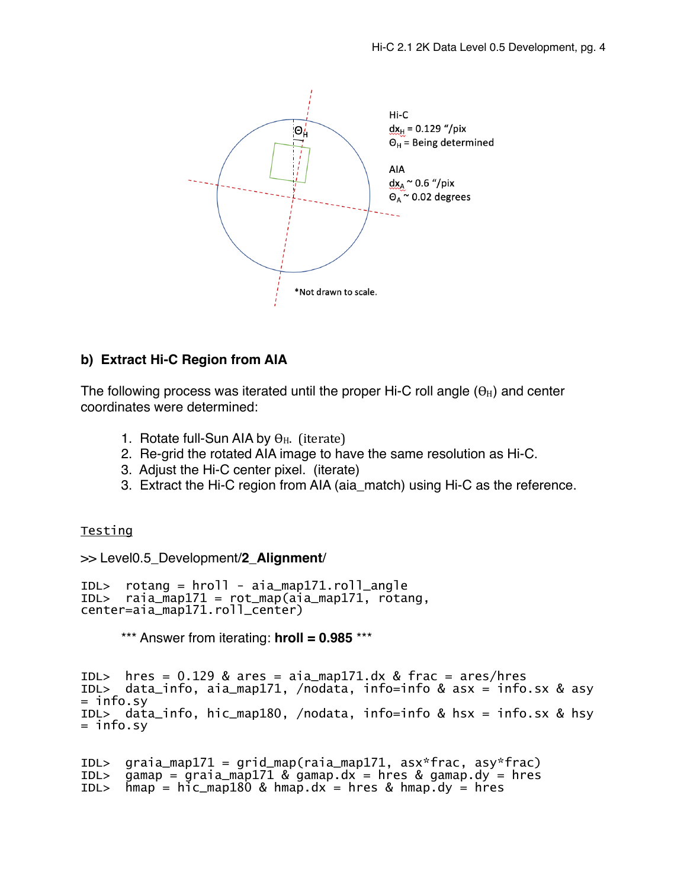

#### **b) Extract Hi-C Region from AIA**

The following process was iterated until the proper Hi-C roll angle  $(\theta_H)$  and center coordinates were determined:

- 1. Rotate full-Sun AIA by  $\theta_{\rm H}$ . (iterate)
- 2. Re-grid the rotated AIA image to have the same resolution as Hi-C.
- 3. Adjust the Hi-C center pixel. (iterate)
- 3. Extract the Hi-C region from AIA (aia\_match) using Hi-C as the reference.

#### **Testing**

>> Level0.5\_Development/**2\_Alignment**/

IDL> rotang = hroll - aia\_map171.roll\_angle  $rainamp171 = rot_map(aia_map171, rotang,$ center=aia\_map171.roll\_center)

\*\*\* Answer from iterating: **hroll = 0.985** \*\*\*

IDL> hres =  $0.129$  & ares =  $aia_map171.dx$  & frac =  $ares/hres$ IDL> data\_info, aia\_map171, /nodata, info=info & asx = info.sx & asy = info.sy IDL> data\_info, hic\_map180, /nodata, info=info & hsx = info.sx & hsy  $=$  info.sy

```
IDL> graia_map171 = grid_map(raia_map171, asx*frac, asy*frac) 
IDL> gamap = graia_map171 & gamap.dx = hres & gamap.dy = hres 
IDL> hmap = hic_map180 & hmap.dx = hres & hmap.dy = hres
```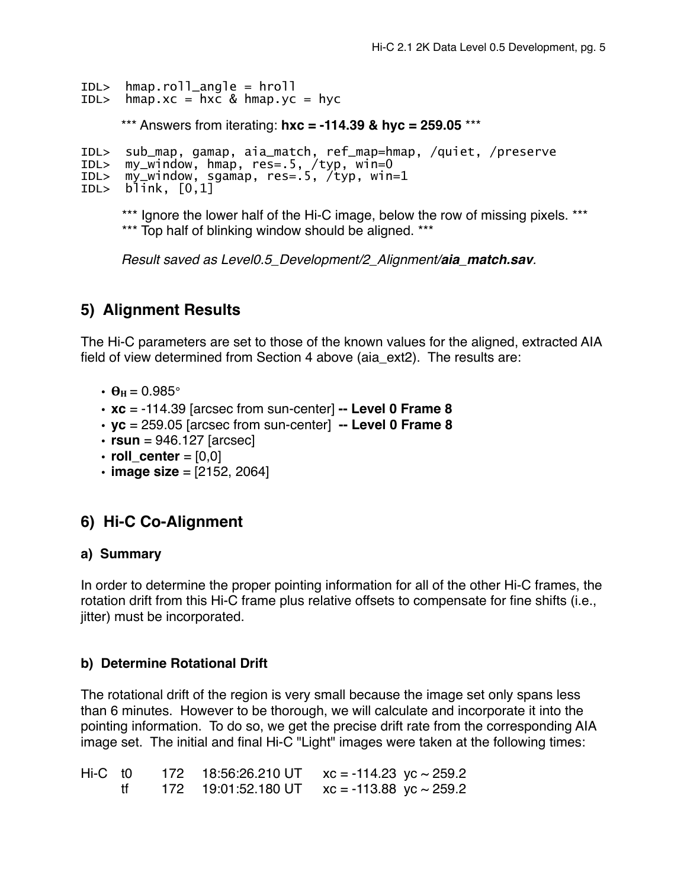```
IDL> hmap.roll_angle = hroll
```
IDL>  $hmap.xc = hxc$  &  $hmap.yc = hyc$ 

\*\*\* Answers from iterating: **hxc = -114.39 & hyc = 259.05** \*\*\*

```
IDL> sub_map, gamap, aia_match, ref_map=hmap, /quiet, /preserve 
     my_w indow, hmap, res=.5, /typ, win=0
IDL> my_window, sgamap, res=.5, /typ, win=1 
IDL> blink, [0,1]
```
\*\*\* Ignore the lower half of the Hi-C image, below the row of missing pixels. \*\*\* \*\*\* Top half of blinking window should be aligned. \*\*\*

*Result saved as Level0.5\_Development/2\_Alignment/aia\_match.sav.*

# **5) Alignment Results**

The Hi-C parameters are set to those of the known values for the aligned, extracted AIA field of view determined from Section 4 above (aia\_ext2). The results are:

- $\cdot \theta_{\text{H}} = 0.985$ °
- **xc** = -114.39 [arcsec from sun-center] **-- Level 0 Frame 8**
- **yc** = 259.05 [arcsec from sun-center] **-- Level 0 Frame 8**
- $\cdot$  **rsun** = 946.127 [arcsec]
- $\cdot$  **roll** center = [0,0]
- **image size** = [2152, 2064]

## **6) Hi-C Co-Alignment**

#### **a) Summary**

In order to determine the proper pointing information for all of the other Hi-C frames, the rotation drift from this Hi-C frame plus relative offsets to compensate for fine shifts (i.e., jitter) must be incorporated.

#### **b) Determine Rotational Drift**

The rotational drift of the region is very small because the image set only spans less than 6 minutes. However to be thorough, we will calculate and incorporate it into the pointing information. To do so, we get the precise drift rate from the corresponding AIA image set. The initial and final Hi-C "Light" images were taken at the following times:

Hi-C t0 172 18:56:26.210 UT  $xc = -114.23$   $vc \sim 259.2$ tf  $172$  19:01:52.180 UT  $xc = -113.88$  yc  $\sim$  259.2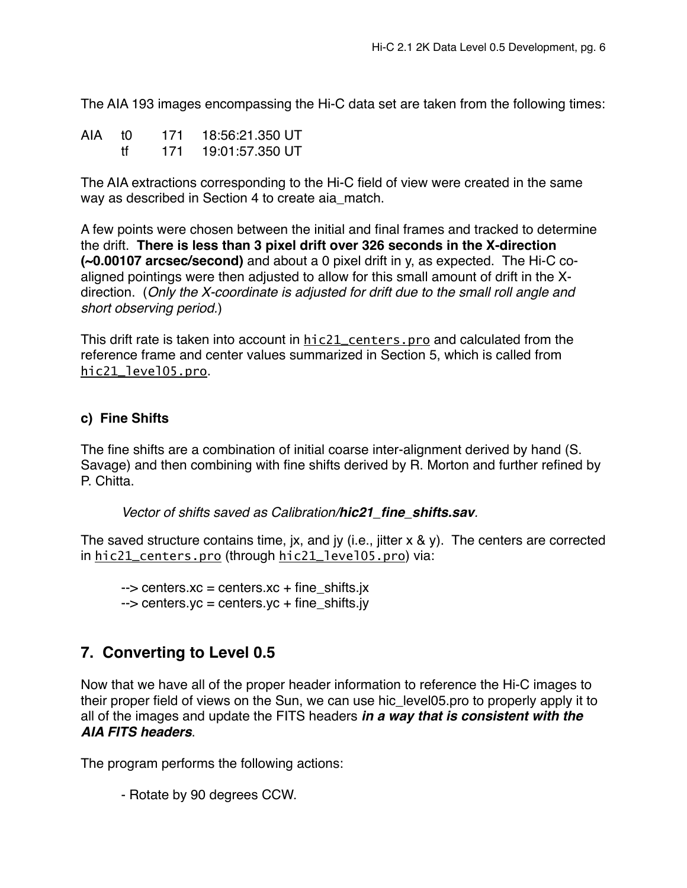The AIA 193 images encompassing the Hi-C data set are taken from the following times:

| AIA t0 |    | 171 | 18:56:21.350 UT |
|--------|----|-----|-----------------|
|        | Ħτ | 171 | 19:01:57.350 UT |

The AIA extractions corresponding to the Hi-C field of view were created in the same way as described in Section 4 to create aia\_match.

A few points were chosen between the initial and final frames and tracked to determine the drift. **There is less than 3 pixel drift over 326 seconds in the X-direction (~0.00107 arcsec/second)** and about a 0 pixel drift in y, as expected. The Hi-C coaligned pointings were then adjusted to allow for this small amount of drift in the Xdirection. (*Only the X-coordinate is adjusted for drift due to the small roll angle and short observing period.*)

This drift rate is taken into account in hic21\_centers.pro and calculated from the reference frame and center values summarized in Section 5, which is called from hic21\_level05.pro.

#### **c) Fine Shifts**

The fine shifts are a combination of initial coarse inter-alignment derived by hand (S. Savage) and then combining with fine shifts derived by R. Morton and further refined by P. Chitta.

*Vector of shifts saved as Calibration/hic21\_fine\_shifts.sav.*

The saved structure contains time, jx, and jy (i.e., jitter x & y). The centers are corrected in hic21\_centers.pro (through hic21\_level05.pro) via:

 $\rightarrow$  centers.xc = centers.xc + fine shifts.jx  $\rightarrow$  centers.yc = centers.yc + fine\_shifts.jy

# **7. Converting to Level 0.5**

Now that we have all of the proper header information to reference the Hi-C images to their proper field of views on the Sun, we can use hic\_level05.pro to properly apply it to all of the images and update the FITS headers *in a way that is consistent with the AIA FITS headers*.

The program performs the following actions:

- Rotate by 90 degrees CCW.